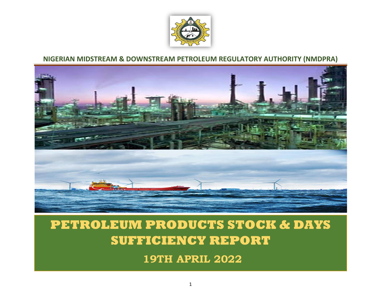

## **NIGERIAN MIDSTREAM & DOWNSTREAM PETROLEUM REGULATORY AUTHORITY (NMDPRA)**



## **PETROLEUM PRODUCTS STOCK & DAYS SUFFICIENCY REPORT**

**19TH APRIL 2022**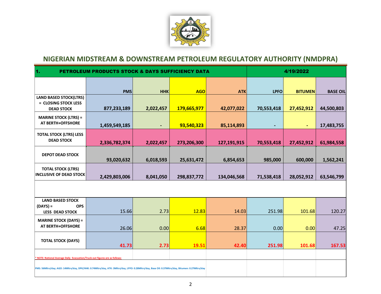

## **NIGERIAN MIDSTREAM & DOWNSTREAM PETROLEUM REGULATORY AUTHORITY (NMDPRA)**

| 1.                                                                                                                                                | <b>PETROLEUM PRODUCTS STOCK &amp; DAYS SUFFICIENCY DATA</b> |                |             | 4/19/2022   |                |                |                 |  |
|---------------------------------------------------------------------------------------------------------------------------------------------------|-------------------------------------------------------------|----------------|-------------|-------------|----------------|----------------|-----------------|--|
|                                                                                                                                                   | <b>PMS</b>                                                  | <b>HHK</b>     | <b>AGO</b>  | <b>ATK</b>  | <b>LPFO</b>    | <b>BITUMEN</b> | <b>BASE OIL</b> |  |
| <b>LAND BASED STOCK(LTRS)</b><br>= CLOSING STOCK LESS<br><b>DEAD STOCK</b>                                                                        | 877,233,189                                                 | 2,022,457      | 179,665,977 | 42,077,022  | 70,553,418     | 27,452,912     | 44,500,803      |  |
| <b>MARINE STOCK (LTRS) =</b><br>AT BERTH+OFFSHORE                                                                                                 | 1,459,549,185                                               | $\blacksquare$ | 93,540,323  | 85,114,893  | $\blacksquare$ | ٠              | 17,483,755      |  |
| <b>TOTAL STOCK (LTRS) LESS</b><br><b>DEAD STOCK</b>                                                                                               | 2,336,782,374                                               | 2,022,457      | 273,206,300 | 127,191,915 | 70,553,418     | 27,452,912     | 61,984,558      |  |
| <b>DEPOT DEAD STOCK</b>                                                                                                                           | 93,020,632                                                  | 6,018,593      | 25,631,472  | 6,854,653   | 985,000        | 600,000        | 1,562,241       |  |
| <b>TOTAL STOCK (LTRS)</b><br><b>INCLUSIVE OF DEAD STOCK</b>                                                                                       | 2,429,803,006                                               | 8,041,050      | 298,837,772 | 134,046,568 | 71,538,418     | 28,052,912     | 63,546,799      |  |
|                                                                                                                                                   |                                                             |                |             |             |                |                |                 |  |
| <b>LAND BASED STOCK</b><br>$(DAYS) =$<br><b>OPS</b><br><b>LESS DEAD STOCK</b>                                                                     | 15.66                                                       | 2.73           | 12.83       | 14.03       | 251.98         | 101.68         | 120.27          |  |
| <b>MARINE STOCK (DAYS) =</b><br>AT BERTH+OFFSHORE                                                                                                 | 26.06                                                       | 0.00           | 6.68        | 28.37       | 0.00           | 0.00           | 47.25           |  |
| <b>TOTAL STOCK (DAYS)</b>                                                                                                                         | 41.73                                                       | 2.73           | 19.51       | 42.40       | 251.98         | 101.68         | 167.53          |  |
| * NOTE: National Average Daily Evacuation/Truck-out figures are as follows:                                                                       |                                                             |                |             |             |                |                |                 |  |
| PMS: 56Mltrs/day; AGO: 14Mltrs/day, DPK/HHK: 0.74Mltrs/day, ATK: 3Mltrs/day, LPFO: 0.28Mltrs/day, Base Oil: 0.37Mltrs/day, Bitumen: 0.27Mltrs/day |                                                             |                |             |             |                |                |                 |  |